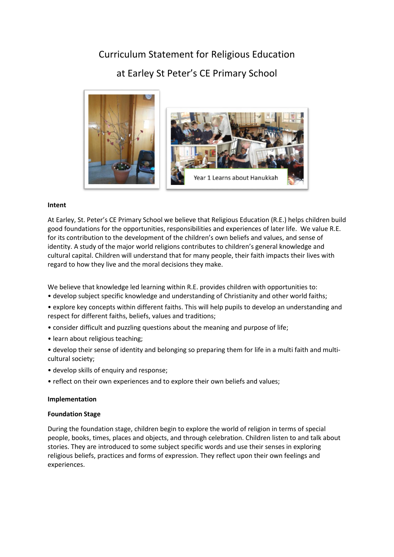# Curriculum Statement for Religious Education at Earley St Peter's CE Primary School



# **Intent**

At Earley, St. Peter's CE Primary School we believe that Religious Education (R.E.) helps children build good foundations for the opportunities, responsibilities and experiences of later life. We value R.E. for its contribution to the development of the children's own beliefs and values, and sense of identity. A study of the major world religions contributes to children's general knowledge and cultural capital. Children will understand that for many people, their faith impacts their lives with regard to how they live and the moral decisions they make.

We believe that knowledge led learning within R.E. provides children with opportunities to: • develop subject specific knowledge and understanding of Christianity and other world faiths;

- explore key concepts within different faiths. This will help pupils to develop an understanding and respect for different faiths, beliefs, values and traditions;
- consider difficult and puzzling questions about the meaning and purpose of life;
- learn about religious teaching;
- develop their sense of identity and belonging so preparing them for life in a multi faith and multicultural society;
- develop skills of enquiry and response;
- reflect on their own experiences and to explore their own beliefs and values;

# **Implementation**

# **Foundation Stage**

During the foundation stage, children begin to explore the world of religion in terms of special people, books, times, places and objects, and through celebration. Children listen to and talk about stories. They are introduced to some subject specific words and use their senses in exploring religious beliefs, practices and forms of expression. They reflect upon their own feelings and experiences.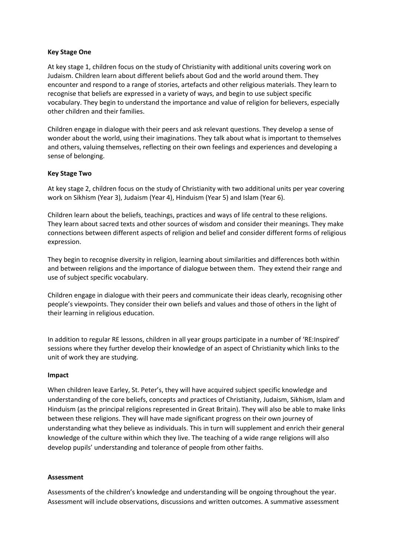## **Key Stage One**

At key stage 1, children focus on the study of Christianity with additional units covering work on Judaism. Children learn about different beliefs about God and the world around them. They encounter and respond to a range of stories, artefacts and other religious materials. They learn to recognise that beliefs are expressed in a variety of ways, and begin to use subject specific vocabulary. They begin to understand the importance and value of religion for believers, especially other children and their families.

Children engage in dialogue with their peers and ask relevant questions. They develop a sense of wonder about the world, using their imaginations. They talk about what is important to themselves and others, valuing themselves, reflecting on their own feelings and experiences and developing a sense of belonging.

### **Key Stage Two**

At key stage 2, children focus on the study of Christianity with two additional units per year covering work on Sikhism (Year 3), Judaism (Year 4), Hinduism (Year 5) and Islam (Year 6).

Children learn about the beliefs, teachings, practices and ways of life central to these religions. They learn about sacred texts and other sources of wisdom and consider their meanings. They make connections between different aspects of religion and belief and consider different forms of religious expression.

They begin to recognise diversity in religion, learning about similarities and differences both within and between religions and the importance of dialogue between them. They extend their range and use of subject specific vocabulary.

Children engage in dialogue with their peers and communicate their ideas clearly, recognising other people's viewpoints. They consider their own beliefs and values and those of others in the light of their learning in religious education.

In addition to regular RE lessons, children in all year groups participate in a number of 'RE:Inspired' sessions where they further develop their knowledge of an aspect of Christianity which links to the unit of work they are studying.

#### **Impact**

When children leave Earley, St. Peter's, they will have acquired subject specific knowledge and understanding of the core beliefs, concepts and practices of Christianity, Judaism, Sikhism, Islam and Hinduism (as the principal religions represented in Great Britain). They will also be able to make links between these religions. They will have made significant progress on their own journey of understanding what they believe as individuals. This in turn will supplement and enrich their general knowledge of the culture within which they live. The teaching of a wide range religions will also develop pupils' understanding and tolerance of people from other faiths.

#### **Assessment**

Assessments of the children's knowledge and understanding will be ongoing throughout the year. Assessment will include observations, discussions and written outcomes. A summative assessment